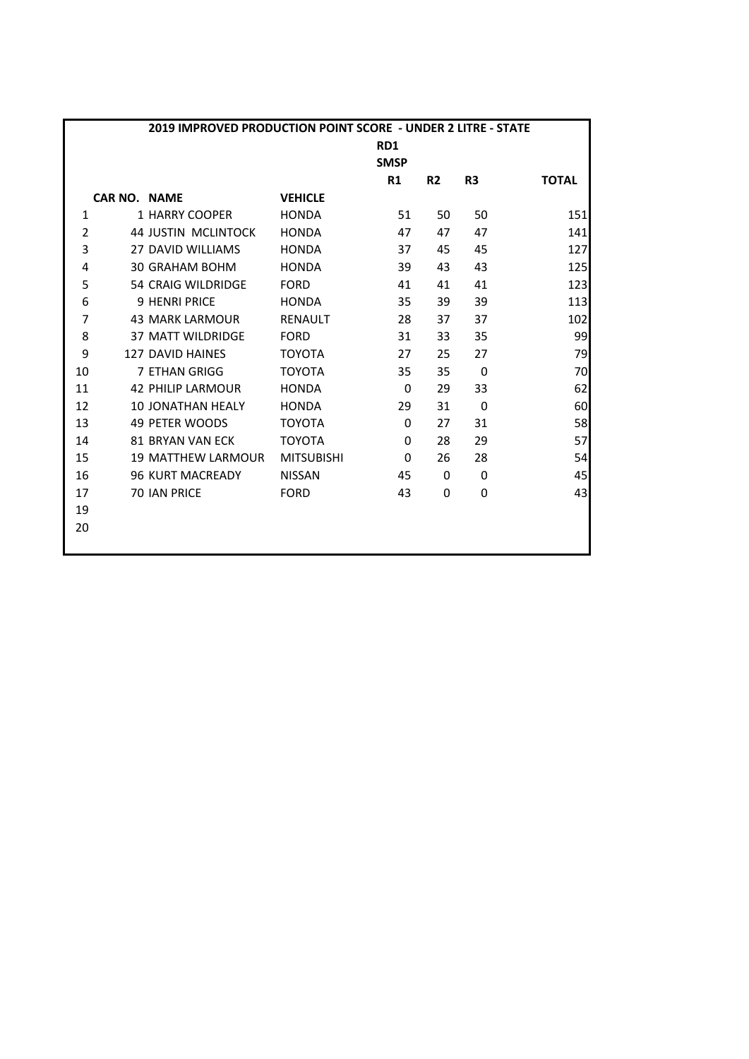|                | 2019 IMPROVED PRODUCTION POINT SCORE - UNDER 2 LITRE - STATE |                            |                   |             |                |                |              |  |
|----------------|--------------------------------------------------------------|----------------------------|-------------------|-------------|----------------|----------------|--------------|--|
|                |                                                              |                            |                   | RD1         |                |                |              |  |
|                |                                                              |                            |                   | <b>SMSP</b> |                |                |              |  |
|                |                                                              |                            |                   | R1          | R <sub>2</sub> | R <sub>3</sub> | <b>TOTAL</b> |  |
|                | <b>CAR NO. NAME</b>                                          |                            | <b>VEHICLE</b>    |             |                |                |              |  |
| 1              |                                                              | 1 HARRY COOPER             | <b>HONDA</b>      | 51          | 50             | 50             | 151          |  |
| $\overline{2}$ |                                                              | <b>44 JUSTIN MCLINTOCK</b> | <b>HONDA</b>      | 47          | 47             | 47             | 141          |  |
| 3              |                                                              | 27 DAVID WILLIAMS          | <b>HONDA</b>      | 37          | 45             | 45             | 127          |  |
| 4              |                                                              | <b>30 GRAHAM BOHM</b>      | <b>HONDA</b>      | 39          | 43             | 43             | 125          |  |
| 5              |                                                              | <b>54 CRAIG WILDRIDGE</b>  | <b>FORD</b>       | 41          | 41             | 41             | 123          |  |
| 6              |                                                              | <b>9 HENRI PRICE</b>       | <b>HONDA</b>      | 35          | 39             | 39             | 113          |  |
| $\overline{7}$ |                                                              | <b>43 MARK LARMOUR</b>     | <b>RENAULT</b>    | 28          | 37             | 37             | 102          |  |
| 8              |                                                              | <b>37 MATT WILDRIDGE</b>   | <b>FORD</b>       | 31          | 33             | 35             | 99           |  |
| 9              |                                                              | <b>127 DAVID HAINES</b>    | <b>TOYOTA</b>     | 27          | 25             | 27             | 79           |  |
| 10             |                                                              | 7 ETHAN GRIGG              | <b>TOYOTA</b>     | 35          | 35             | 0              | 70           |  |
| 11             |                                                              | <b>42 PHILIP LARMOUR</b>   | <b>HONDA</b>      | 0           | 29             | 33             | 62           |  |
| 12             |                                                              | <b>10 JONATHAN HEALY</b>   | <b>HONDA</b>      | 29          | 31             | 0              | 60           |  |
| 13             |                                                              | 49 PETER WOODS             | <b>TOYOTA</b>     | 0           | 27             | 31             | 58           |  |
| 14             |                                                              | 81 BRYAN VAN ECK           | <b>TOYOTA</b>     | 0           | 28             | 29             | 57           |  |
| 15             |                                                              | <b>19 MATTHEW LARMOUR</b>  | <b>MITSUBISHI</b> | 0           | 26             | 28             | 54           |  |
| 16             |                                                              | <b>96 KURT MACREADY</b>    | <b>NISSAN</b>     | 45          | 0              | $\mathbf{0}$   | 45           |  |
| 17             |                                                              | <b>70 IAN PRICE</b>        | <b>FORD</b>       | 43          | 0              | 0              | 43           |  |
| 19             |                                                              |                            |                   |             |                |                |              |  |
| 20             |                                                              |                            |                   |             |                |                |              |  |
|                |                                                              |                            |                   |             |                |                |              |  |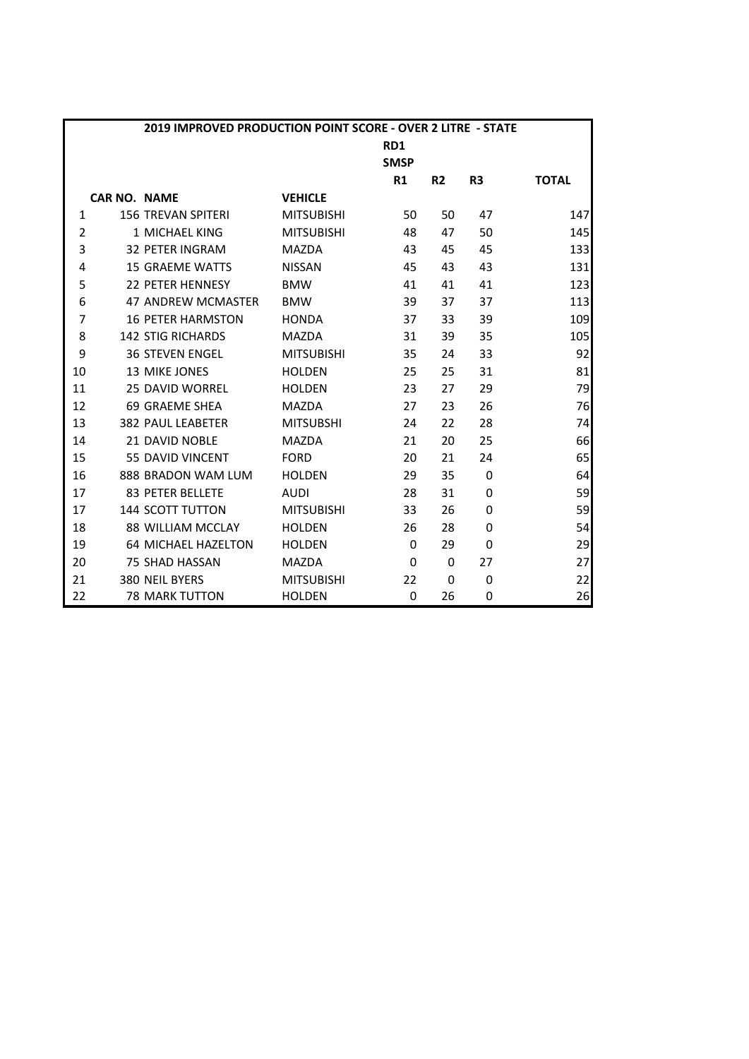|    | 2019 IMPROVED PRODUCTION POINT SCORE - OVER 2 LITRE - STATE |                            |                   |             |           |                |              |  |
|----|-------------------------------------------------------------|----------------------------|-------------------|-------------|-----------|----------------|--------------|--|
|    |                                                             |                            |                   | RD1         |           |                |              |  |
|    |                                                             |                            |                   | <b>SMSP</b> |           |                |              |  |
|    |                                                             |                            |                   | R1          | <b>R2</b> | R <sub>3</sub> | <b>TOTAL</b> |  |
|    | <b>CAR NO. NAME</b>                                         |                            | <b>VEHICLE</b>    |             |           |                |              |  |
| 1  |                                                             | <b>156 TREVAN SPITERI</b>  | <b>MITSUBISHI</b> | 50          | 50        | 47             | 147          |  |
| 2  |                                                             | 1 MICHAEL KING             | <b>MITSUBISHI</b> | 48          | 47        | 50             | 145          |  |
| 3  |                                                             | <b>32 PETER INGRAM</b>     | <b>MAZDA</b>      | 43          | 45        | 45             | 133          |  |
| 4  |                                                             | <b>15 GRAFMF WATTS</b>     | <b>NISSAN</b>     | 45          | 43        | 43             | 131          |  |
| 5  |                                                             | <b>22 PETER HENNESY</b>    | <b>BMW</b>        | 41          | 41        | 41             | 123          |  |
| 6  |                                                             | 47 ANDREW MCMASTER         | <b>BMW</b>        | 39          | 37        | 37             | 113          |  |
| 7  |                                                             | <b>16 PETER HARMSTON</b>   | <b>HONDA</b>      | 37          | 33        | 39             | 109          |  |
| 8  |                                                             | <b>142 STIG RICHARDS</b>   | <b>MAZDA</b>      | 31          | 39        | 35             | 105          |  |
| 9  |                                                             | <b>36 STEVEN ENGEL</b>     | <b>MITSUBISHI</b> | 35          | 24        | 33             | 92           |  |
| 10 |                                                             | 13 MIKE JONES              | <b>HOLDEN</b>     | 25          | 25        | 31             | 81           |  |
| 11 |                                                             | <b>25 DAVID WORREL</b>     | <b>HOLDEN</b>     | 23          | 27        | 29             | 79           |  |
| 12 |                                                             | 69 GRAEME SHEA             | <b>MAZDA</b>      | 27          | 23        | 26             | 76           |  |
| 13 |                                                             | <b>382 PAUL LEABETER</b>   | <b>MITSUBSHI</b>  | 24          | 22        | 28             | 74           |  |
| 14 |                                                             | 21 DAVID NOBLE             | <b>MAZDA</b>      | 21          | 20        | 25             | 66           |  |
| 15 |                                                             | 55 DAVID VINCENT           | <b>FORD</b>       | 20          | 21        | 24             | 65           |  |
| 16 |                                                             | 888 BRADON WAM LUM         | <b>HOLDEN</b>     | 29          | 35        | 0              | 64           |  |
| 17 |                                                             | <b>83 PETER BELLETE</b>    | <b>AUDI</b>       | 28          | 31        | 0              | 59           |  |
| 17 |                                                             | <b>144 SCOTT TUTTON</b>    | <b>MITSUBISHI</b> | 33          | 26        | 0              | 59           |  |
| 18 |                                                             | 88 WILLIAM MCCLAY          | <b>HOLDEN</b>     | 26          | 28        | 0              | 54           |  |
| 19 |                                                             | <b>64 MICHAEL HAZELTON</b> | <b>HOLDEN</b>     | 0           | 29        | 0              | 29           |  |
| 20 |                                                             | 75 SHAD HASSAN             | <b>MAZDA</b>      | 0           | 0         | 27             | 27           |  |
| 21 |                                                             | 380 NEIL BYERS             | <b>MITSUBISHI</b> | 22          | 0         | 0              | 22           |  |
| 22 |                                                             | <b>78 MARK TUTTON</b>      | <b>HOLDEN</b>     | 0           | 26        | 0              | 26           |  |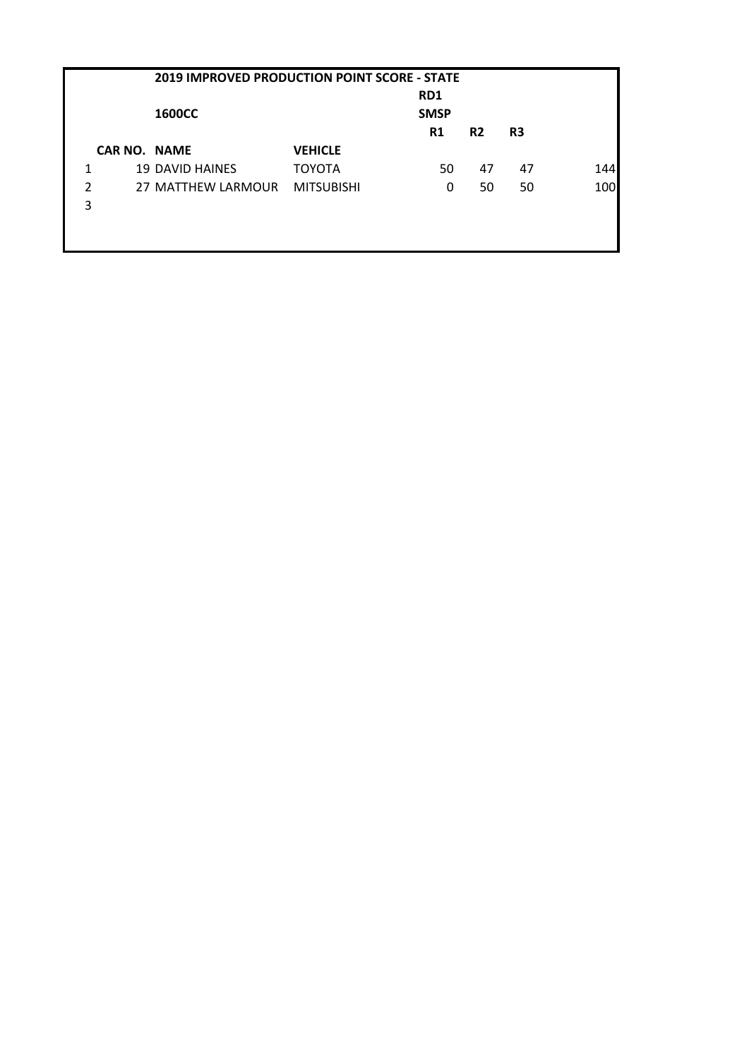| <b>2019 IMPROVED PRODUCTION POINT SCORE - STATE</b> |                     |                        |                   |             |           |                |     |
|-----------------------------------------------------|---------------------|------------------------|-------------------|-------------|-----------|----------------|-----|
|                                                     |                     |                        |                   | RD1         |           |                |     |
|                                                     |                     | <b>1600CC</b>          |                   | <b>SMSP</b> |           |                |     |
|                                                     |                     |                        |                   | R1          | <b>R2</b> | R <sub>3</sub> |     |
|                                                     | <b>CAR NO. NAME</b> |                        | <b>VEHICLE</b>    |             |           |                |     |
| 1                                                   |                     | <b>19 DAVID HAINES</b> | <b>TOYOTA</b>     | 50          | 47        | 47             | 144 |
| $\mathfrak{p}$                                      |                     | 27 MATTHEW LARMOUR     | <b>MITSUBISHI</b> | 0           | 50        | 50             | 100 |
| 3                                                   |                     |                        |                   |             |           |                |     |
|                                                     |                     |                        |                   |             |           |                |     |
|                                                     |                     |                        |                   |             |           |                |     |
|                                                     |                     |                        |                   |             |           |                |     |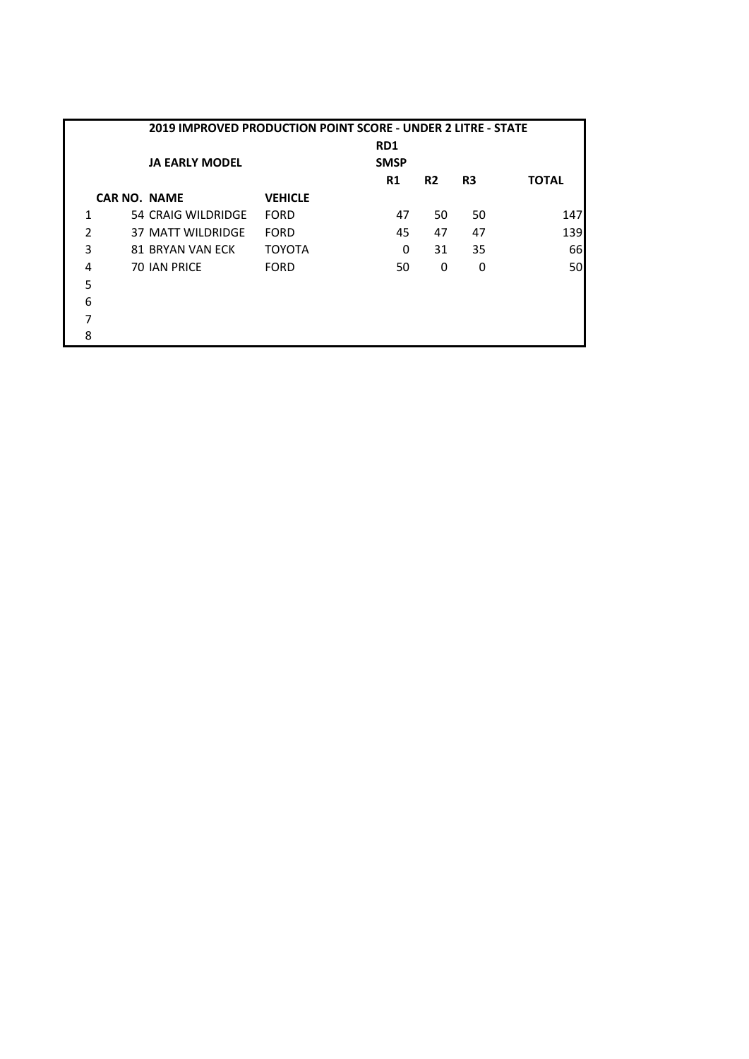|               | <b>2019 IMPROVED PRODUCTION POINT SCORE - UNDER 2 LITRE - STATE</b> |                |                 |           |                |              |  |  |
|---------------|---------------------------------------------------------------------|----------------|-----------------|-----------|----------------|--------------|--|--|
|               |                                                                     |                | RD <sub>1</sub> |           |                |              |  |  |
|               | <b>JA EARLY MODEL</b>                                               |                | <b>SMSP</b>     |           |                |              |  |  |
|               |                                                                     |                | R1              | <b>R2</b> | R <sub>3</sub> | <b>TOTAL</b> |  |  |
|               | <b>CAR NO. NAME</b>                                                 | <b>VEHICLE</b> |                 |           |                |              |  |  |
| 1             | 54 CRAIG WILDRIDGE                                                  | <b>FORD</b>    | 47              | 50        | 50             | 147          |  |  |
| $\mathcal{P}$ | 37 MATT WILDRIDGE                                                   | <b>FORD</b>    | 45              | 47        | 47             | 139          |  |  |
| 3             | 81 BRYAN VAN ECK                                                    | <b>TOYOTA</b>  | 0               | 31        | 35             | 66           |  |  |
| 4             | 70 IAN PRICE                                                        | <b>FORD</b>    | 50              | 0         | 0              | 50           |  |  |
| 5             |                                                                     |                |                 |           |                |              |  |  |
| 6             |                                                                     |                |                 |           |                |              |  |  |
| 7             |                                                                     |                |                 |           |                |              |  |  |
| 8             |                                                                     |                |                 |           |                |              |  |  |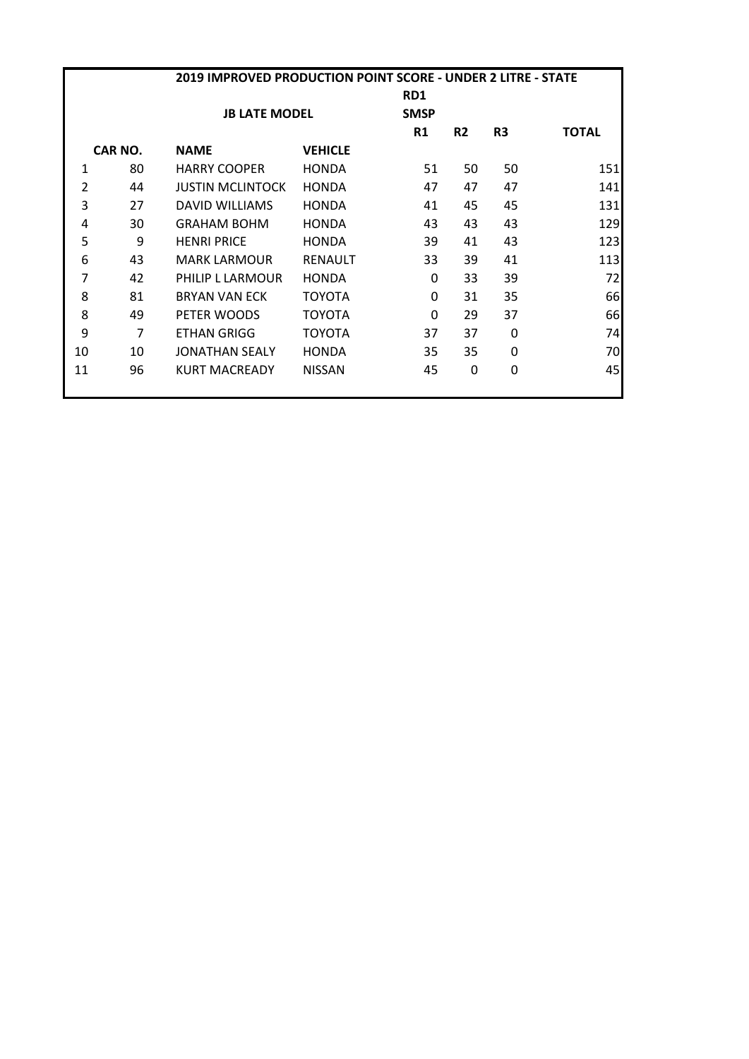|                | 2019 IMPROVED PRODUCTION POINT SCORE - UNDER 2 LITRE - STATE |                         |                |                |                |                |              |  |
|----------------|--------------------------------------------------------------|-------------------------|----------------|----------------|----------------|----------------|--------------|--|
|                | RD1                                                          |                         |                |                |                |                |              |  |
|                |                                                              | <b>JB LATE MODEL</b>    | <b>SMSP</b>    |                |                |                |              |  |
|                |                                                              |                         |                | R <sub>1</sub> | R <sub>2</sub> | R <sub>3</sub> | <b>TOTAL</b> |  |
|                | CAR NO.                                                      | <b>NAME</b>             | <b>VEHICLE</b> |                |                |                |              |  |
| 1              | 80                                                           | <b>HARRY COOPER</b>     | <b>HONDA</b>   | 51             | 50             | 50             | 151          |  |
| $\overline{2}$ | 44                                                           | <b>JUSTIN MCLINTOCK</b> | <b>HONDA</b>   | 47             | 47             | 47             | 141          |  |
| 3              | 27                                                           | <b>DAVID WILLIAMS</b>   | <b>HONDA</b>   | 41             | 45             | 45             | 131          |  |
| 4              | 30                                                           | <b>GRAHAM BOHM</b>      | <b>HONDA</b>   | 43             | 43             | 43             | 129          |  |
| 5              | 9                                                            | <b>HENRI PRICE</b>      | <b>HONDA</b>   | 39             | 41             | 43             | 123          |  |
| 6              | 43                                                           | <b>MARK LARMOUR</b>     | <b>RENAULT</b> | 33             | 39             | 41             | 113          |  |
| 7              | 42                                                           | PHILIP L LARMOUR        | <b>HONDA</b>   | $\Omega$       | 33             | 39             | 72           |  |
| 8              | 81                                                           | <b>BRYAN VAN ECK</b>    | <b>TOYOTA</b>  | 0              | 31             | 35             | 66           |  |
| 8              | 49                                                           | PETER WOODS             | TOYOTA         | 0              | 29             | 37             | 66           |  |
| 9              | 7                                                            | ETHAN GRIGG             | <b>TOYOTA</b>  | 37             | 37             | 0              | 74           |  |
| 10             | 10                                                           | <b>JONATHAN SEALY</b>   | <b>HONDA</b>   | 35             | 35             | 0              | 70           |  |
| 11             | 96                                                           | <b>KURT MACREADY</b>    | <b>NISSAN</b>  | 45             | 0              | 0              | 45           |  |
|                |                                                              |                         |                |                |                |                |              |  |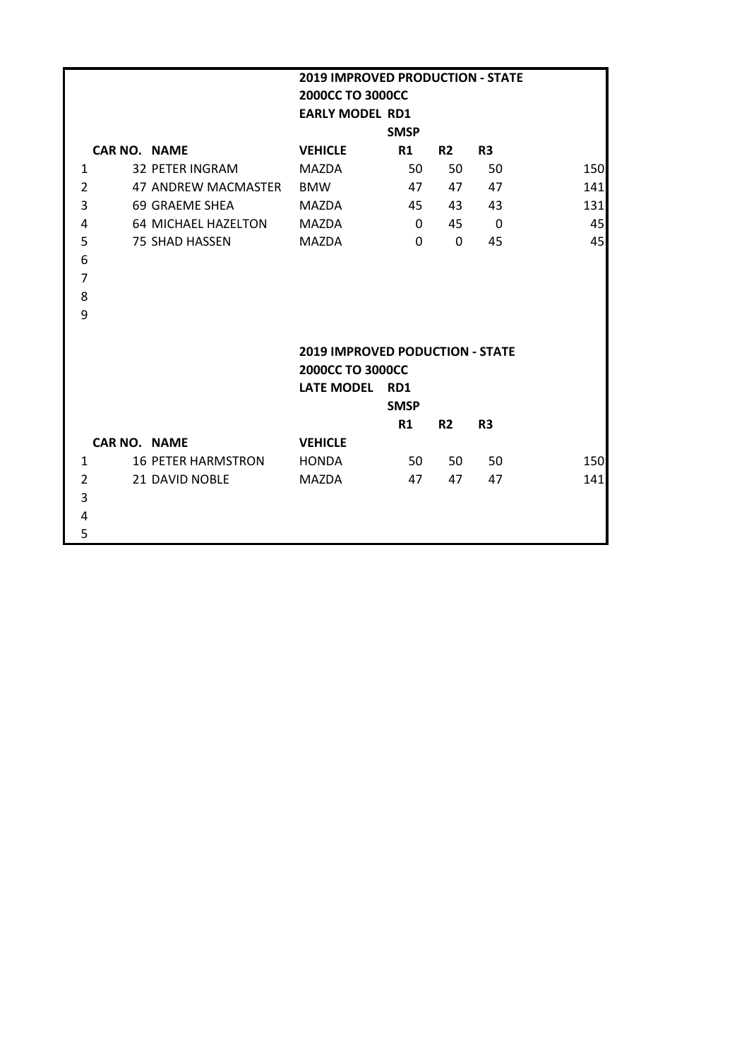|                |                           | <b>2019 IMPROVED PRODUCTION - STATE</b> |             |              |                          |     |
|----------------|---------------------------|-----------------------------------------|-------------|--------------|--------------------------|-----|
|                |                           | 2000CC TO 3000CC                        |             |              |                          |     |
|                |                           | <b>EARLY MODEL RD1</b>                  |             |              |                          |     |
|                |                           |                                         | <b>SMSP</b> |              |                          |     |
|                | <b>CAR NO. NAME</b>       | <b>VEHICLE</b>                          | <b>R1</b>   | R2           | R <sub>3</sub>           |     |
| $\mathbf{1}$   | 32 PETER INGRAM           | <b>MAZDA</b>                            | 50          | 50           | 50                       | 150 |
| $\overline{2}$ | 47 ANDREW MACMASTER       | <b>BMW</b>                              | 47          | 47           | 47                       | 141 |
| 3              | 69 GRAEME SHEA            | MAZDA                                   | 45          | 43           | 43                       | 131 |
| 4              | 64 MICHAEL HAZELTON       | MAZDA                                   | $\Omega$    | 45           | $\overline{\phantom{0}}$ | 45  |
| 5              | 75 SHAD HASSEN            | MAZDA                                   | $\Omega$    | $\mathbf{0}$ | 45                       | 45  |
| 6              |                           |                                         |             |              |                          |     |
| $\overline{7}$ |                           |                                         |             |              |                          |     |
| 8              |                           |                                         |             |              |                          |     |
| 9              |                           |                                         |             |              |                          |     |
|                |                           |                                         |             |              |                          |     |
|                |                           | <b>2019 IMPROVED PODUCTION - STATE</b>  |             |              |                          |     |
|                |                           | 2000CC TO 3000CC                        |             |              |                          |     |
|                |                           | LATE MODEL RD1                          |             |              |                          |     |
|                |                           |                                         | <b>SMSP</b> |              |                          |     |
|                |                           |                                         | R1          | R2           | R <sub>3</sub>           |     |
|                | <b>CAR NO. NAME</b>       | <b>VEHICLE</b>                          |             |              |                          |     |
| $\mathbf{1}$   | <b>16 PETER HARMSTRON</b> | <b>HONDA</b>                            | 50          | 50           | 50                       | 150 |
| $\overline{2}$ | 21 DAVID NOBLE            | MAZDA                                   | 47          | 47           | 47                       | 141 |
| 3              |                           |                                         |             |              |                          |     |
| 4              |                           |                                         |             |              |                          |     |